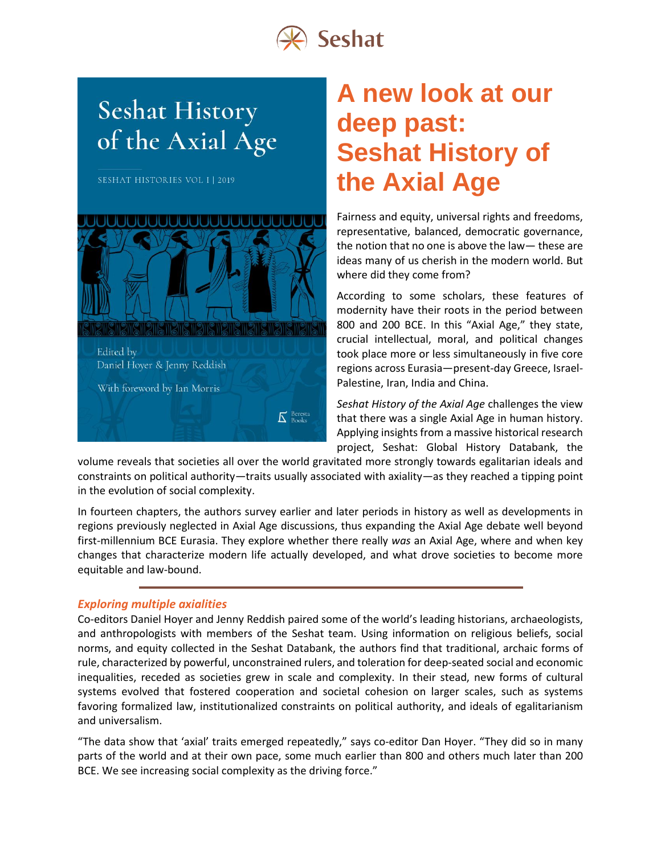

# **Seshat History** of the Axial Age

**SESHAT HISTORIES VOL I | 2019** 



## **A new look at our deep past: Seshat History of the Axial Age**

Fairness and equity, universal rights and freedoms, representative, balanced, democratic governance, the notion that no one is above the law— these are ideas many of us cherish in the modern world. But where did they come from?

According to some scholars, these features of modernity have their roots in the period between 800 and 200 BCE. In this "Axial Age," they state, crucial intellectual, moral, and political changes took place more or less simultaneously in five core regions across Eurasia—present-day Greece, Israel-Palestine, Iran, India and China.

*Seshat History of the Axial Age* challenges the view that there was a single Axial Age in human history. Applying insights from a massive historical research project, Seshat: Global History Databank, the

volume reveals that societies all over the world gravitated more strongly towards egalitarian ideals and constraints on political authority—traits usually associated with axiality—as they reached a tipping point in the evolution of social complexity.

In fourteen chapters, the authors survey earlier and later periods in history as well as developments in regions previously neglected in Axial Age discussions, thus expanding the Axial Age debate well beyond first-millennium BCE Eurasia. They explore whether there really *was* an Axial Age, where and when key changes that characterize modern life actually developed, and what drove societies to become more equitable and law-bound.

## *Exploring multiple axialities*

Co-editors Daniel Hoyer and Jenny Reddish paired some of the world's leading historians, archaeologists, and anthropologists with members of the Seshat team. Using information on religious beliefs, social norms, and equity collected in the Seshat Databank, the authors find that traditional, archaic forms of rule, characterized by powerful, unconstrained rulers, and toleration for deep-seated social and economic inequalities, receded as societies grew in scale and complexity. In their stead, new forms of cultural systems evolved that fostered cooperation and societal cohesion on larger scales, such as systems favoring formalized law, institutionalized constraints on political authority, and ideals of egalitarianism and universalism.

"The data show that 'axial' traits emerged repeatedly," says co-editor Dan Hoyer. "They did so in many parts of the world and at their own pace, some much earlier than 800 and others much later than 200 BCE. We see increasing social complexity as the driving force."